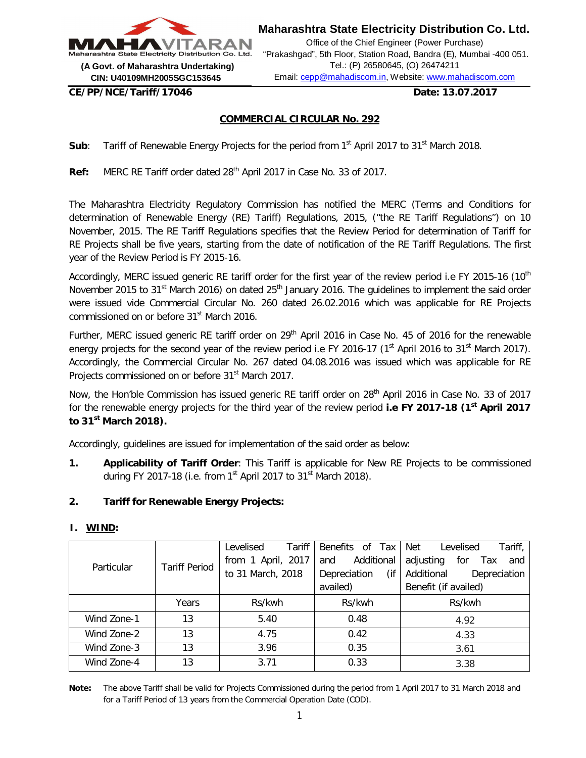

**Maharashtra State Electricity Distribution Co. Ltd.**

Office of the Chief Engineer (Power Purchase) "Prakashgad", 5th Floor, Station Road, Bandra (E), Mumbai -400 051. Tel.: (P) 26580645, (O) 26474211 Email: cepp@mahadiscom.in, Website: www.mahadiscom.com

**CE/PP/NCE/Tariff/17046 Date: 13.07.2017**

# **COMMERCIAL CIRCULAR No. 292**

**Sub**: Tariff of Renewable Energy Projects for the period from 1<sup>st</sup> April 2017 to 31<sup>st</sup> March 2018.

Ref: MERC RE Tariff order dated 28<sup>th</sup> April 2017 in Case No. 33 of 2017.

The Maharashtra Electricity Regulatory Commission has notified the MERC (Terms and Conditions for determination of Renewable Energy (RE) Tariff) Regulations, 2015, ("the RE Tariff Regulations") on 10 November, 2015. The RE Tariff Regulations specifies that the Review Period for determination of Tariff for RE Projects shall be five years, starting from the date of notification of the RE Tariff Regulations. The first year of the Review Period is FY 2015-16.

Accordingly, MERC issued generic RE tariff order for the first year of the review period i.e FY 2015-16 (10<sup>th</sup> November 2015 to 31<sup>st</sup> March 2016) on dated 25<sup>th</sup> January 2016. The quidelines to implement the said order were issued vide Commercial Circular No. 260 dated 26.02.2016 which was applicable for RE Projects commissioned on or before 31<sup>st</sup> March 2016.

Further, MERC issued generic RE tariff order on 29<sup>th</sup> April 2016 in Case No. 45 of 2016 for the renewable energy projects for the second year of the review period i.e FY 2016-17 (1<sup>st</sup> April 2016 to 31<sup>st</sup> March 2017). Accordingly, the Commercial Circular No. 267 dated 04.08.2016 was issued which was applicable for RE Projects commissioned on or before 31<sup>st</sup> March 2017.

Now, the Hon'ble Commission has issued generic RE tariff order on 28<sup>th</sup> April 2016 in Case No. 33 of 2017 for the renewable energy projects for the third year of the review period **i.e FY 2017-18 (1st April 2017 to 31st March 2018).**

Accordingly, guidelines are issued for implementation of the said order as below:

**1. Applicability of Tariff Order**: This Tariff is applicable for New RE Projects to be commissioned during FY 2017-18 (i.e. from 1<sup>st</sup> April 2017 to 31<sup>st</sup> March 2018).

## **2. Tariff for Renewable Energy Projects:**

#### **I. WIND:**

|             |                      | <b>Tariff</b><br>Levelised | Benefits of Tax     | Net<br>Tariff,<br>Levelised    |  |
|-------------|----------------------|----------------------------|---------------------|--------------------------------|--|
| Particular  | <b>Tariff Period</b> | from 1 April, 2017         | Additional<br>and   | adjusting<br>for<br>and<br>Tax |  |
|             |                      | to 31 March, 2018          | (if<br>Depreciation | Additional<br>Depreciation     |  |
|             |                      |                            | availed)            | Benefit (if availed)           |  |
|             | Years                | Rs/kwh                     | Rs/kwh              | Rs/kwh                         |  |
| Wind Zone-1 | 13                   | 5.40                       | 0.48                | 4.92                           |  |
| Wind Zone-2 | 13                   | 4.75                       | 0.42                | 4.33                           |  |
| Wind Zone-3 | 13                   | 3.96                       | 0.35                | 3.61                           |  |
| Wind Zone-4 | 13                   | 3.71                       | 0.33                | 3.38                           |  |

**Note:** The above Tariff shall be valid for Projects Commissioned during the period from 1 April 2017 to 31 March 2018 and for a Tariff Period of 13 years from the Commercial Operation Date (COD).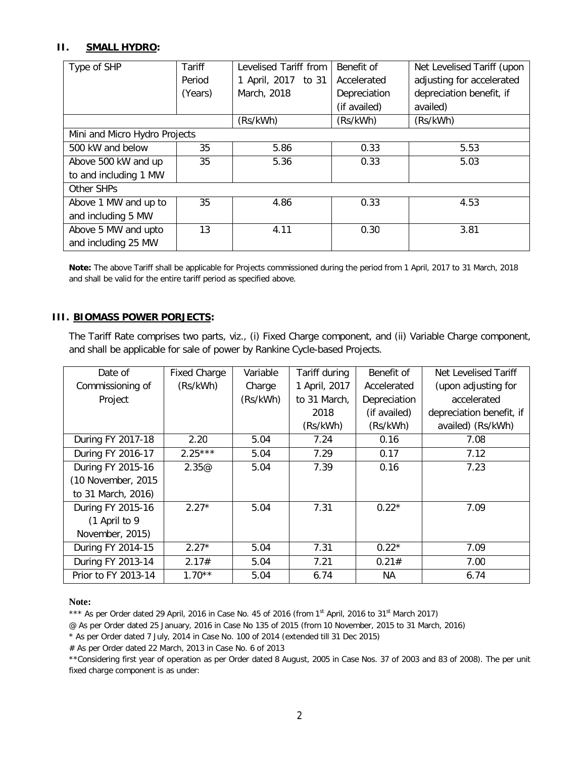# **II. SMALL HYDRO:**

| Type of SHP                   | Tariff  | Levelised Tariff from | Benefit of   | Net Levelised Tariff (upon |
|-------------------------------|---------|-----------------------|--------------|----------------------------|
|                               | Period  | 1 April, 2017 to 31   | Accelerated  | adjusting for accelerated  |
|                               | (Years) | March, 2018           | Depreciation | depreciation benefit, if   |
|                               |         |                       | (if availed) | availed)                   |
|                               |         | (Rs/kWh)              | (Rs/kWh)     | (Rs/kWh)                   |
| Mini and Micro Hydro Projects |         |                       |              |                            |
| 500 kW and below              | 35      | 5.86                  | 0.33         | 5.53                       |
| Above 500 kW and up           | 35      | 5.36                  | 0.33         | 5.03                       |
| to and including 1 MW         |         |                       |              |                            |
| Other SHPs                    |         |                       |              |                            |
| Above 1 MW and up to          | 35      | 4.86                  | 0.33         | 4.53                       |
| and including 5 MW            |         |                       |              |                            |
| Above 5 MW and upto           | 13      | 4.11                  | 0.30         | 3.81                       |
| and including 25 MW           |         |                       |              |                            |

**Note:** The above Tariff shall be applicable for Projects commissioned during the period from 1 April, 2017 to 31 March, 2018 and shall be valid for the entire tariff period as specified above.

## **III. BIOMASS POWER PORJECTS:**

The Tariff Rate comprises two parts, viz., (i) Fixed Charge component, and (ii) Variable Charge component, and shall be applicable for sale of power by Rankine Cycle-based Projects.

| Date of             | <b>Fixed Charge</b> | Variable | Tariff during | Benefit of   | Net Levelised Tariff     |
|---------------------|---------------------|----------|---------------|--------------|--------------------------|
| Commissioning of    | (Rs/kWh)            | Charge   | 1 April, 2017 | Accelerated  | (upon adjusting for      |
| Project             |                     | (Rs/kWh) | to 31 March,  | Depreciation | accelerated              |
|                     |                     |          | 2018          | (if availed) | depreciation benefit, if |
|                     |                     |          | (Rs/kWh)      | (Rs/kWh)     | availed) (Rs/kWh)        |
| During FY 2017-18   | 2.20                | 5.04     | 7.24          | 0.16         | 7.08                     |
| During FY 2016-17   | $2.25***$           | 5.04     | 7.29          | 0.17         | 7.12                     |
| During FY 2015-16   | 2.35@               | 5.04     | 7.39          | 0.16         | 7.23                     |
| (10 November, 2015) |                     |          |               |              |                          |
| to 31 March, 2016)  |                     |          |               |              |                          |
| During FY 2015-16   | $2.27*$             | 5.04     | 7.31          | $0.22*$      | 7.09                     |
| (1 April to 9       |                     |          |               |              |                          |
| November, 2015)     |                     |          |               |              |                          |
| During FY 2014-15   | $2.27*$             | 5.04     | 7.31          | $0.22*$      | 7.09                     |
| During FY 2013-14   | 2.17#               | 5.04     | 7.21          | 0.21#        | 7.00                     |
| Prior to FY 2013-14 | $1.70**$            | 5.04     | 6.74          | ΝA           | 6.74                     |

#### **Note:**

\*\*\* As per Order dated 29 April, 2016 in Case No. 45 of 2016 (from 1<sup>st</sup> April, 2016 to 31<sup>st</sup> March 2017)

@ As per Order dated 25 January, 2016 in Case No 135 of 2015 (from 10 November, 2015 to 31 March, 2016)

\* As per Order dated 7 July, 2014 in Case No. 100 of 2014 (extended till 31 Dec 2015)

# As per Order dated 22 March, 2013 in Case No. 6 of 2013

\*\*Considering first year of operation as per Order dated 8 August, 2005 in Case Nos. 37 of 2003 and 83 of 2008). The per unit fixed charge component is as under: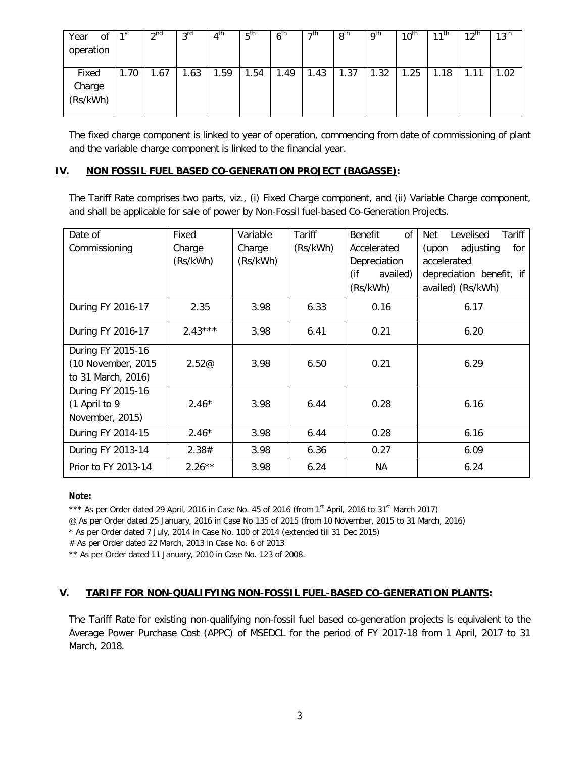| Οf<br>Year<br>operation     | 1 <sup>st</sup> | $\gamma$ nd | 3 <sup>rd</sup> | $4^{\text{th}}$ | 5 <sup>th</sup> | 6 <sup>th</sup> | ⊿th  | 8 <sup>th</sup> | . g <sup>th</sup> | $10^{\text{th}}$ | $11^{th}$ | $12^{th}$       | 13 <sup>th</sup> |
|-----------------------------|-----------------|-------------|-----------------|-----------------|-----------------|-----------------|------|-----------------|-------------------|------------------|-----------|-----------------|------------------|
| Fixed<br>Charge<br>(Rs/kWh) | 1.70            | .67         | 1.63            | .59             | .54             | . 49            | 1.43 | 1.37            | 1.32              | 1.25             | 1.18      | ◀<br>-11<br>1.1 | 1.02             |

The fixed charge component is linked to year of operation, commencing from date of commissioning of plant and the variable charge component is linked to the financial year.

## **IV. NON FOSSIL FUEL BASED CO-GENERATION PROJECT (BAGASSE):**

The Tariff Rate comprises two parts, viz., (i) Fixed Charge component, and (ii) Variable Charge component, and shall be applicable for sale of power by Non-Fossil fuel-based Co-Generation Projects.

| Date of<br>Commissioning                                      | Fixed<br>Charge<br>(Rs/kWh) | Variable<br>Charge<br>(Rs/kWh) | Tariff<br>(Rs/kWh) | 0f<br><b>Benefit</b><br>Accelerated<br>Depreciation<br>(if<br>availed)<br>(Rs/kWh) | Levelised<br>Net<br>Tariff<br>adjusting<br>for<br>(upon<br>accelerated<br>depreciation benefit, if<br>availed) (Rs/kWh) |  |  |
|---------------------------------------------------------------|-----------------------------|--------------------------------|--------------------|------------------------------------------------------------------------------------|-------------------------------------------------------------------------------------------------------------------------|--|--|
| During FY 2016-17                                             | 2.35                        | 3.98                           | 6.33               | 0.16                                                                               | 6.17                                                                                                                    |  |  |
| During FY 2016-17                                             | $2.43***$                   | 3.98                           | 6.41               | 0.21                                                                               | 6.20                                                                                                                    |  |  |
| During FY 2015-16<br>(10 November, 2015<br>to 31 March, 2016) | 2.52@                       | 3.98                           | 6.50               | 0.21                                                                               | 6.29                                                                                                                    |  |  |
| During FY 2015-16<br>(1 April to 9<br>November, 2015)         | $2.46*$                     | 3.98                           | 6.44               | 0.28                                                                               | 6.16                                                                                                                    |  |  |
| During FY 2014-15                                             | $2.46*$                     | 3.98                           | 6.44               | 0.28                                                                               | 6.16                                                                                                                    |  |  |
| During FY 2013-14                                             | 2.38#                       | 3.98                           | 6.36               | 0.27                                                                               | 6.09                                                                                                                    |  |  |
| Prior to FY 2013-14                                           | $2.26***$                   | 3.98                           | 6.24               | NА                                                                                 | 6.24                                                                                                                    |  |  |

## **Note:**

\*\*\* As per Order dated 29 April, 2016 in Case No. 45 of 2016 (from 1<sup>st</sup> April, 2016 to 31<sup>st</sup> March 2017)

@ As per Order dated 25 January, 2016 in Case No 135 of 2015 (from 10 November, 2015 to 31 March, 2016)

\* As per Order dated 7 July, 2014 in Case No. 100 of 2014 (extended till 31 Dec 2015)

# As per Order dated 22 March, 2013 in Case No. 6 of 2013

\*\* As per Order dated 11 January, 2010 in Case No. 123 of 2008.

## **V. TARIFF FOR NON-QUALIFYING NON-FOSSIL FUEL-BASED CO-GENERATION PLANTS:**

The Tariff Rate for existing non-qualifying non-fossil fuel based co-generation projects is equivalent to the Average Power Purchase Cost (APPC) of MSEDCL for the period of FY 2017-18 from 1 April, 2017 to 31 March, 2018.